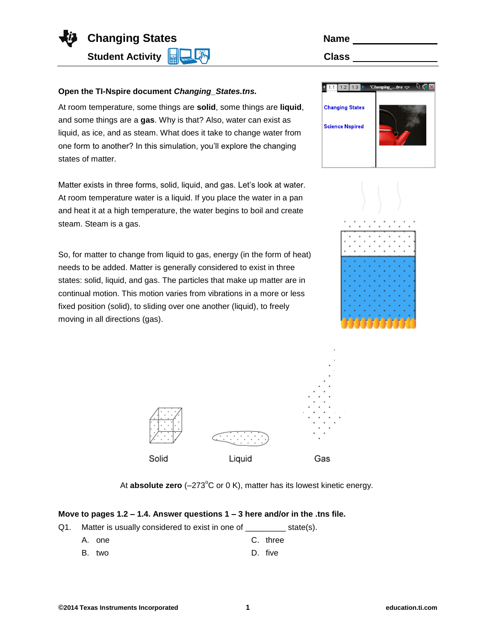

| <b>Name</b>  |  |
|--------------|--|
| <b>Class</b> |  |

## **Open the TI-Nspire document** *Changing\_States.tns.*

At room temperature, some things are **solid**, some things are **liquid**, and some things are a **gas**. Why is that? Also, water can exist as liquid, as ice, and as steam. What does it take to change water from one form to another? In this simulation, you'll explore the changing states of matter.

Matter exists in three forms, solid, liquid, and gas. Let's look at water. At room temperature water is a liquid. If you place the water in a pan and heat it at a high temperature, the water begins to boil and create steam. Steam is a gas.

So, for matter to change from liquid to gas, energy (in the form of heat) needs to be added. Matter is generally considered to exist in three states: solid, liquid, and gas. The particles that make up matter are in continual motion. This motion varies from vibrations in a more or less fixed position (solid), to sliding over one another (liquid), to freely moving in all directions (gas).

| 1.2<br>1.3             | $"Changingtes \rightleftharpoons$ |
|------------------------|-----------------------------------|
| <b>Changing States</b> |                                   |
| <b>Science Nspired</b> |                                   |
|                        |                                   |
|                        |                                   |





At **absolute zero** ( $-273^{\circ}$ C or 0 K), matter has its lowest kinetic energy.

## **Move to pages 1.2 – 1.4. Answer questions 1 – 3 here and/or in the .tns file.**

- Q1. Matter is usually considered to exist in one of state(s).
	- A. one C. three
	- B. two D. five
- **©2014 Texas Instruments Incorporated 1 education.ti.com**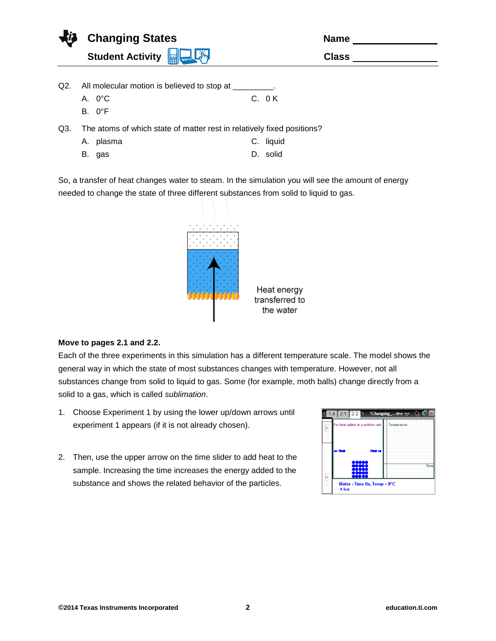| Changing States                  | <b>Name</b>  |
|----------------------------------|--------------|
| Student Activity <b>For Life</b> | <b>Class</b> |
|                                  |              |

- Q2. All molecular motion is believed to stop at
	- A. 0°C
	- B. 0°F

C. 0 K

- Q3. The atoms of which state of matter rest in relatively fixed positions?
	- A. plasma C. liquid
	- B. gas D. solid

So, a transfer of heat changes water to steam. In the simulation you will see the amount of energy needed to change the state of three different substances from solid to liquid to gas.



## **Move to pages 2.1 and 2.2.**

Each of the three experiments in this simulation has a different temperature scale. The model shows the general way in which the state of most substances changes with temperature. However, not all substances change from solid to liquid to gas. Some (for example, moth balls) change directly from a solid to a gas, which is called *sublimation*.

- 1. Choose Experiment 1 by using the lower up/down arrows until experiment 1 appears (if it is not already chosen).
- 2. Then, use the upper arrow on the time slider to add heat to the sample. Increasing the time increases the energy added to the substance and shows the related behavior of the particles.

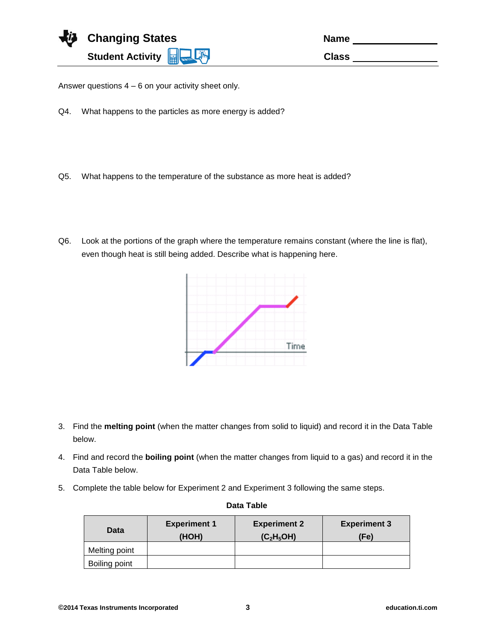

Answer questions 4 – 6 on your activity sheet only.

- Q4. What happens to the particles as more energy is added?
- Q5. What happens to the temperature of the substance as more heat is added?
- Q6. Look at the portions of the graph where the temperature remains constant (where the line is flat), even though heat is still being added. Describe what is happening here.



- 3. Find the **melting point** (when the matter changes from solid to liquid) and record it in the Data Table below.
- 4. Find and record the **boiling point** (when the matter changes from liquid to a gas) and record it in the Data Table below.
- 5. Complete the table below for Experiment 2 and Experiment 3 following the same steps.

| Data          | <b>Experiment 1</b><br>(HOH) | <b>Experiment 2</b><br>(C <sub>2</sub> H <sub>5</sub> OH) | <b>Experiment 3</b><br>(Fe) |
|---------------|------------------------------|-----------------------------------------------------------|-----------------------------|
| Melting point |                              |                                                           |                             |
| Boiling point |                              |                                                           |                             |

## **Data Table**